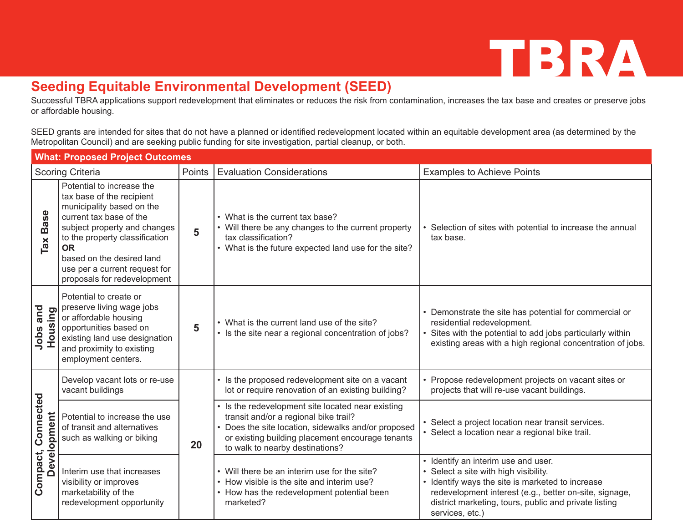## TBRA

## **Seeding Equitable Environmental Development (SEED)**

Successful TBRA applications support redevelopment that eliminates or reduces the risk from contamination, increases the tax base and creates or preserve jobs or affordable housing.

SEED grants are intended for sites that do not have a planned or identified redevelopment located within an equitable development area (as determined by the Metropolitan Council) and are seeking public funding for site investigation, partial cleanup, or both.

| <b>What: Proposed Project Outcomes</b> |                                                                                                                                                                                                                                                                                            |        |                                                                                                                                                                                                                                        |                                                                                                                                                                                                                                                                    |
|----------------------------------------|--------------------------------------------------------------------------------------------------------------------------------------------------------------------------------------------------------------------------------------------------------------------------------------------|--------|----------------------------------------------------------------------------------------------------------------------------------------------------------------------------------------------------------------------------------------|--------------------------------------------------------------------------------------------------------------------------------------------------------------------------------------------------------------------------------------------------------------------|
| <b>Scoring Criteria</b>                |                                                                                                                                                                                                                                                                                            | Points | <b>Evaluation Considerations</b>                                                                                                                                                                                                       | <b>Examples to Achieve Points</b>                                                                                                                                                                                                                                  |
| <b>Base</b><br>Ta <b>x</b>             | Potential to increase the<br>tax base of the recipient<br>municipality based on the<br>current tax base of the<br>subject property and changes<br>to the property classification<br><b>OR</b><br>based on the desired land<br>use per a current request for<br>proposals for redevelopment | 5      | • What is the current tax base?<br>• Will there be any changes to the current property<br>tax classification?<br>• What is the future expected land use for the site?                                                                  | Selection of sites with potential to increase the annual<br>tax base.                                                                                                                                                                                              |
| and<br><b>Housing</b><br>Jobs          | Potential to create or<br>preserve living wage jobs<br>or affordable housing<br>opportunities based on<br>existing land use designation<br>and proximity to existing<br>employment centers.                                                                                                | 5      | • What is the current land use of the site?<br>• Is the site near a regional concentration of jobs?                                                                                                                                    | • Demonstrate the site has potential for commercial or<br>residential redevelopment.<br>Sites with the potential to add jobs particularly within<br>existing areas with a high regional concentration of jobs.                                                     |
| Connected<br>Development<br>Compact,   | Develop vacant lots or re-use<br>vacant buildings                                                                                                                                                                                                                                          | 20     | • Is the proposed redevelopment site on a vacant<br>lot or require renovation of an existing building?                                                                                                                                 | Propose redevelopment projects on vacant sites or<br>projects that will re-use vacant buildings.                                                                                                                                                                   |
|                                        | Potential to increase the use<br>of transit and alternatives<br>such as walking or biking                                                                                                                                                                                                  |        | • Is the redevelopment site located near existing<br>transit and/or a regional bike trail?<br>Does the site location, sidewalks and/or proposed<br>or existing building placement encourage tenants<br>to walk to nearby destinations? | Select a project location near transit services.<br>Select a location near a regional bike trail.                                                                                                                                                                  |
|                                        | Interim use that increases<br>visibility or improves<br>marketability of the<br>redevelopment opportunity                                                                                                                                                                                  |        | • Will there be an interim use for the site?<br>• How visible is the site and interim use?<br>• How has the redevelopment potential been<br>marketed?                                                                                  | • Identify an interim use and user.<br>Select a site with high visibility.<br>Identify ways the site is marketed to increase<br>redevelopment interest (e.g., better on-site, signage,<br>district marketing, tours, public and private listing<br>services, etc.) |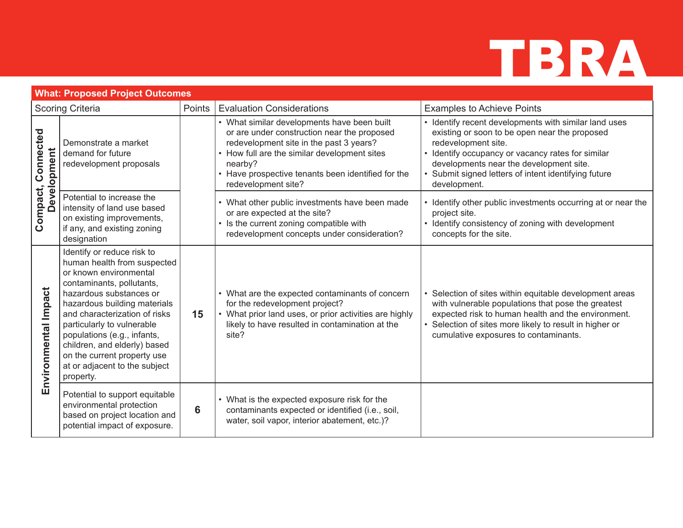

| <b>What: Proposed Project Outcomes</b> |                                                                                                                                                                                                                                                                                                                                                                                        |        |                                                                                                                                                                                                                                                                             |                                                                                                                                                                                                                                                                                                     |
|----------------------------------------|----------------------------------------------------------------------------------------------------------------------------------------------------------------------------------------------------------------------------------------------------------------------------------------------------------------------------------------------------------------------------------------|--------|-----------------------------------------------------------------------------------------------------------------------------------------------------------------------------------------------------------------------------------------------------------------------------|-----------------------------------------------------------------------------------------------------------------------------------------------------------------------------------------------------------------------------------------------------------------------------------------------------|
| <b>Scoring Criteria</b>                |                                                                                                                                                                                                                                                                                                                                                                                        | Points | <b>Evaluation Considerations</b>                                                                                                                                                                                                                                            | <b>Examples to Achieve Points</b>                                                                                                                                                                                                                                                                   |
| Compact, Connected<br>Development      | Demonstrate a market<br>demand for future<br>redevelopment proposals                                                                                                                                                                                                                                                                                                                   |        | • What similar developments have been built<br>or are under construction near the proposed<br>redevelopment site in the past 3 years?<br>How full are the similar development sites<br>nearby?<br>• Have prospective tenants been identified for the<br>redevelopment site? | • Identify recent developments with similar land uses<br>existing or soon to be open near the proposed<br>redevelopment site.<br>• Identify occupancy or vacancy rates for similar<br>developments near the development site.<br>Submit signed letters of intent identifying future<br>development. |
|                                        | Potential to increase the<br>intensity of land use based<br>on existing improvements,<br>if any, and existing zoning<br>designation                                                                                                                                                                                                                                                    |        | • What other public investments have been made<br>or are expected at the site?<br>• Is the current zoning compatible with<br>redevelopment concepts under consideration?                                                                                                    | • Identify other public investments occurring at or near the<br>project site.<br>• Identify consistency of zoning with development<br>concepts for the site.                                                                                                                                        |
| Environmental Impact                   | Identify or reduce risk to<br>human health from suspected<br>or known environmental<br>contaminants, pollutants,<br>hazardous substances or<br>hazardous building materials<br>and characterization of risks<br>particularly to vulnerable<br>populations (e.g., infants,<br>children, and elderly) based<br>on the current property use<br>at or adjacent to the subject<br>property. | 15     | • What are the expected contaminants of concern<br>for the redevelopment project?<br>• What prior land uses, or prior activities are highly<br>likely to have resulted in contamination at the<br>site?                                                                     | Selection of sites within equitable development areas<br>with vulnerable populations that pose the greatest<br>expected risk to human health and the environment.<br>Selection of sites more likely to result in higher or<br>cumulative exposures to contaminants.                                 |
|                                        | Potential to support equitable<br>environmental protection<br>based on project location and<br>potential impact of exposure.                                                                                                                                                                                                                                                           | 6      | • What is the expected exposure risk for the<br>contaminants expected or identified (i.e., soil,<br>water, soil vapor, interior abatement, etc.)?                                                                                                                           |                                                                                                                                                                                                                                                                                                     |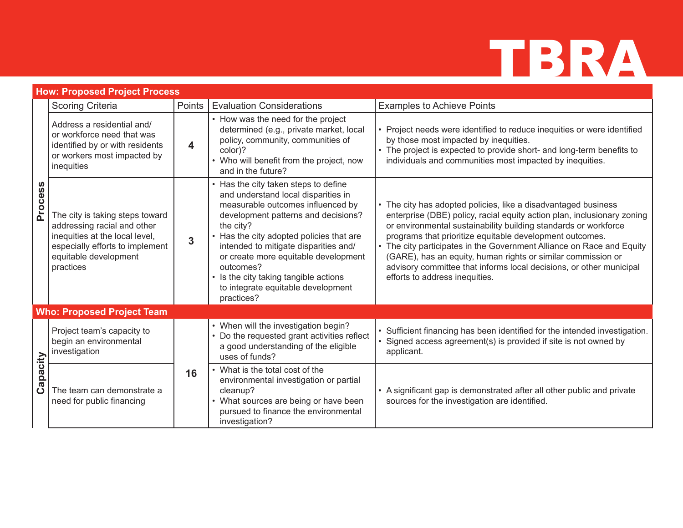## TBRA

|              | <b>How: Proposed Project Process</b>                                                                                                                                      |                |                                                                                                                                                                                                                                                                                                                                                                                                             |                                                                                                                                                                                                                                                                                                                                                                                                                                                                                                                            |  |
|--------------|---------------------------------------------------------------------------------------------------------------------------------------------------------------------------|----------------|-------------------------------------------------------------------------------------------------------------------------------------------------------------------------------------------------------------------------------------------------------------------------------------------------------------------------------------------------------------------------------------------------------------|----------------------------------------------------------------------------------------------------------------------------------------------------------------------------------------------------------------------------------------------------------------------------------------------------------------------------------------------------------------------------------------------------------------------------------------------------------------------------------------------------------------------------|--|
| Process      | Scoring Criteria                                                                                                                                                          | Points         | <b>Evaluation Considerations</b>                                                                                                                                                                                                                                                                                                                                                                            | <b>Examples to Achieve Points</b>                                                                                                                                                                                                                                                                                                                                                                                                                                                                                          |  |
|              | Address a residential and/<br>or workforce need that was<br>identified by or with residents<br>or workers most impacted by<br>inequities                                  | 4              | • How was the need for the project<br>determined (e.g., private market, local<br>policy, community, communities of<br>color)?<br>• Who will benefit from the project, now<br>and in the future?                                                                                                                                                                                                             | • Project needs were identified to reduce inequities or were identified<br>by those most impacted by inequities.<br>• The project is expected to provide short- and long-term benefits to<br>individuals and communities most impacted by inequities.                                                                                                                                                                                                                                                                      |  |
|              | The city is taking steps toward<br>addressing racial and other<br>inequities at the local level,<br>especially efforts to implement<br>equitable development<br>practices | $\overline{3}$ | • Has the city taken steps to define<br>and understand local disparities in<br>measurable outcomes influenced by<br>development patterns and decisions?<br>the city?<br>• Has the city adopted policies that are<br>intended to mitigate disparities and/<br>or create more equitable development<br>outcomes?<br>• Is the city taking tangible actions<br>to integrate equitable development<br>practices? | • The city has adopted policies, like a disadvantaged business<br>enterprise (DBE) policy, racial equity action plan, inclusionary zoning<br>or environmental sustainability building standards or workforce<br>programs that prioritize equitable development outcomes.<br>• The city participates in the Government Alliance on Race and Equity<br>(GARE), has an equity, human rights or similar commission or<br>advisory committee that informs local decisions, or other municipal<br>efforts to address inequities. |  |
|              | <b>Who: Proposed Project Team</b>                                                                                                                                         |                |                                                                                                                                                                                                                                                                                                                                                                                                             |                                                                                                                                                                                                                                                                                                                                                                                                                                                                                                                            |  |
| apacity<br>ت | Project team's capacity to<br>begin an environmental<br>investigation                                                                                                     |                | • When will the investigation begin?<br>• Do the requested grant activities reflect<br>a good understanding of the eligible<br>uses of funds?                                                                                                                                                                                                                                                               | • Sufficient financing has been identified for the intended investigation.<br>· Signed access agreement(s) is provided if site is not owned by<br>applicant.                                                                                                                                                                                                                                                                                                                                                               |  |
|              | The team can demonstrate a<br>need for public financing                                                                                                                   | 16             | What is the total cost of the<br>environmental investigation or partial<br>cleanup?<br>What sources are being or have been<br>pursued to finance the environmental<br>investigation?                                                                                                                                                                                                                        | • A significant gap is demonstrated after all other public and private<br>sources for the investigation are identified.                                                                                                                                                                                                                                                                                                                                                                                                    |  |